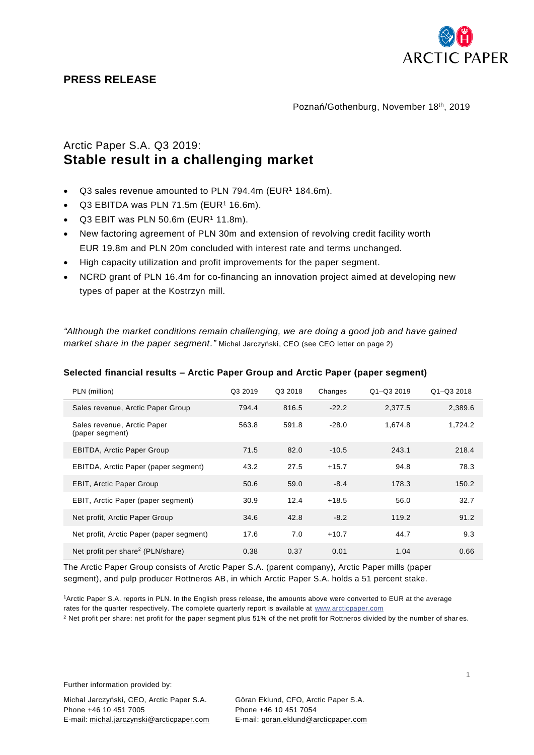

## **PRESS RELEASE**

Poznań/Gothenburg, November 18th, 2019

## Arctic Paper S.A. Q3 2019: **Stable result in a challenging market**

- Q3 sales revenue amounted to PLN 794.4m (EUR<sup>1</sup> 184.6m).
- Q3 EBITDA was PLN 71.5m (EUR<sup>1</sup> 16.6m).
- $Q3$  EBIT was PLN 50.6m (EUR<sup>1</sup> 11.8m).
- New factoring agreement of PLN 30m and extension of revolving credit facility worth EUR 19.8m and PLN 20m concluded with interest rate and terms unchanged.
- High capacity utilization and profit improvements for the paper segment.
- NCRD grant of PLN 16.4m for co-financing an innovation project aimed at developing new types of paper at the Kostrzyn mill.

*"Although the market conditions remain challenging, we are doing a good job and have gained market share in the paper segment."* Michal Jarczyński, CEO (see CEO letter on page 2)

| PLN (million)                                  | Q3 2019 | Q3 2018 | Changes | Q1-Q3 2019 | Q1-Q3 2018 |
|------------------------------------------------|---------|---------|---------|------------|------------|
| Sales revenue, Arctic Paper Group              | 794.4   | 816.5   | $-22.2$ | 2.377.5    | 2,389.6    |
| Sales revenue, Arctic Paper<br>(paper segment) | 563.8   | 591.8   | $-28.0$ | 1,674.8    | 1,724.2    |
| <b>EBITDA, Arctic Paper Group</b>              | 71.5    | 82.0    | $-10.5$ | 243.1      | 218.4      |
| EBITDA, Arctic Paper (paper segment)           | 43.2    | 27.5    | $+15.7$ | 94.8       | 78.3       |
| <b>EBIT, Arctic Paper Group</b>                | 50.6    | 59.0    | $-8.4$  | 178.3      | 150.2      |
| EBIT, Arctic Paper (paper segment)             | 30.9    | 12.4    | $+18.5$ | 56.0       | 32.7       |
| Net profit, Arctic Paper Group                 | 34.6    | 42.8    | $-8.2$  | 119.2      | 91.2       |
| Net profit, Arctic Paper (paper segment)       | 17.6    | 7.0     | $+10.7$ | 44.7       | 9.3        |
| Net profit per share <sup>2</sup> (PLN/share)  | 0.38    | 0.37    | 0.01    | 1.04       | 0.66       |

## **Selected financial results – Arctic Paper Group and Arctic Paper (paper segment)**

The Arctic Paper Group consists of Arctic Paper S.A. (parent company), Arctic Paper mills (paper segment), and pulp producer Rottneros AB, in which Arctic Paper S.A. holds a 51 percent stake.

<sup>1</sup>Arctic Paper S.A. reports in PLN. In the English press release, the amounts above were converted to EUR at the average rates for the quarter respectively. The complete quarterly report is available at [www.arcticpaper.com](http://www.arcticpaper.com/)

<sup>2</sup> Net profit per share: net profit for the paper segment plus 51% of the net profit for Rottneros divided by the number of shar es.

Further information provided by:

Michal Jarczyński, CEO, Arctic Paper S.A. Göran Eklund, CFO, Arctic Paper S.A. Phone +46 10 451 7005 Phone +46 10 451 7054 E-mail: michal.jarczynski@arcticpaper.com E-mail: [goran.eklund@arcticpaper.com](mailto:goran.eklund@arcticpaper.com)